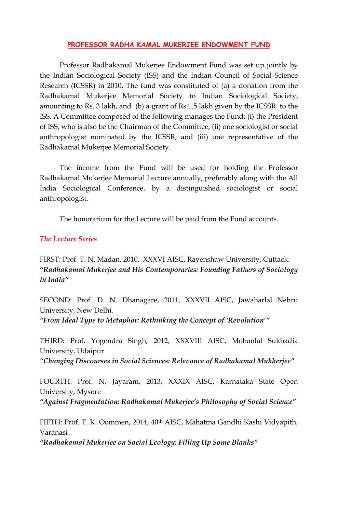## **PROFESSOR RADHA KAMAL MUKERJEE ENDOWMENT FUND**

Professor Radhakamal Mukerjee Endowment Fund was set up jointly by the Indian Sociological Society (ISS) and the Indian Council of Social Science Research (ICSSR) in 2010. The fund was constituted of (a) a donation from the Radhakamal Mukerjee Memorial Society to Indian Sociological Society, amounting to Rs. 3 lakh, and (b) a grant of Rs.1.5 lakh given by the ICSSR to the ISS. A Committee composed of the following manages the Fund: (i) the President of ISS, who is also be the Chairman of the Committee, (ii) one sociologist or social anthropologist nominated by the ICSSR, and (iii) one representative of the Radhakamal Mukerjee Memorial Society.

The income from the Fund will be used for holding the Professor Radhakamal Mukerjee Memorial Lecture annually, preferably along with the All India Sociological Conference, by a distinguished sociologist or social anthropologist.

The honorarium for the Lecture will be paid from the Fund accounts.

## *The Lecture Series*

FIRST: Prof. T. N. Madan, 2010, XXXVI AISC, Ravenshaw University, Cuttack. *"Radhakamal Mukerjee and His Contemporaries: Founding Fathers of Sociology in India"*

SECOND: Prof. D. N. Dhanagare, 2011, XXXVII AISC, Jawaharlal Nehru University, New Delhi. *"From Ideal Type to Metaphor: Rethinking the Concept of 'Revolution'"*

THIRD: Prof. Yogendra Singh, 2012, XXXVIII AISC, Mohanlal Sukhadia University, Udaipur *"Changing Discourses in Social Sciences: Relevance of Radhakamal Mukherjee"*

FOURTH: Prof. N. Jayaram, 2013, XXXIX AISC, Karnataka State Open University, Mysore

*"Against Fragmentation: Radhakamal Mukerjee's Philosophy of Social Science"*

FIFTH: Prof. T. K. Oommen, 2014, 40th AISC, Mahatma Gandhi Kashi Vidyapith, Varanasi

*"Radhakamal Mukerjee on Social Ecology: Filling Up Some Blanks"*